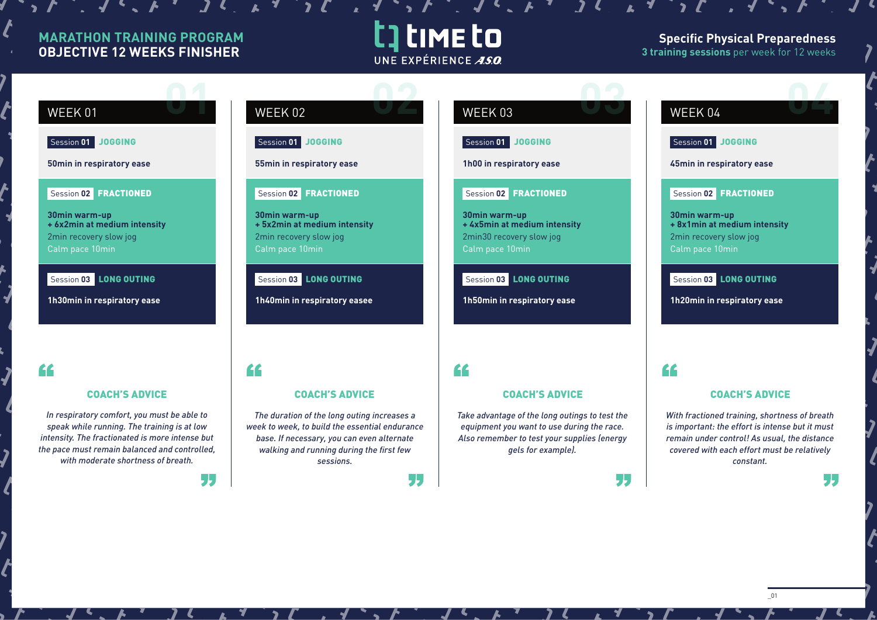### **MARATHON TRAINING PROGRAM OBJECTIVE 12 WEEKS FINISHER**

 $\mathcal{L}$ ,  $\mathcal{L}$ ,  $\mathcal{L}$ ,  $\mathcal{L}$ ,  $\mathcal{L}$ 

### t] time to UNE EXPÉRIENCE ASO

55

 $\mathcal{L}$ 

### **Specific Physical Preparedness 3 training sessions** per week for 12 weeks

#### **WEEK 01 WEEK 02 WEEK 03** Session **01** JOGGING Session **01** JOGGING Session **01** JOGGING **50min in respiratory ease 55min in respiratory ease 1h00 in respiratory ease** Session **02** FRACTIONED Session **02** FRACTIONED Session **02** FRACTIONED **30min warm-up 30min warm-up 30min warm-up + 6x2min at medium intensity + 5x2min at medium intensity + 4x5min at medium intensity** 2min recovery slow jog 2min recovery slow jog 2min30 recovery slow jog Calm pace 10min Calm pace 10min Calm pace 10min Session **03** LONG OUTING Session **03** LONG OUTING Session **03** LONG OUTING **1h30min in respiratory ease 1h40min in respiratory easee 1h50min in respiratory ease** " " COACH'S ADVICE COACH'S ADVICE COACH'S ADVICE *The duration of the long outing increases a Take advantage of the long outings to test the week to week, to build the essential endurance equipment you want to use during the race. base. If necessary, you can even alternate Also remember to test your supplies (energy walking and running during the first few gels for example). sessions.*

## **WEEK 04 DEALER**

### Session **01** JOGGING

**45min in respiratory ease**

### Session **02** FRACTIONED

**30min warm-up + 8x1min at medium intensity** 2min recovery slow jog Calm pace 10min

### Session **03** LONG OUTING

**1h20min in respiratory ease**

### "

55

### COACH'S ADVICE

*With fractioned training, shortness of breath is important: the effort is intense but it must remain under control! As usual, the distance covered with each effort must be relatively constant.*

\_01

77

*In respiratory comfort, you must be able to speak while running. The training is at low intensity. The fractionated is more intense but the pace must remain balanced and controlled, with moderate shortness of breath.*

44

, ,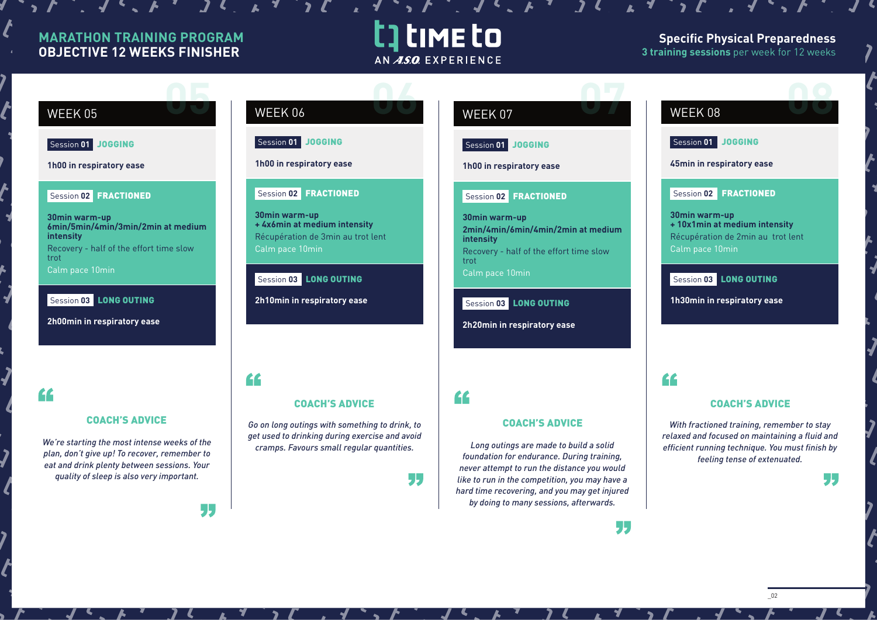### **MARATHON TRAINING PROGRAM OBJECTIVE 12 WEEKS FINISHER**

 $\boldsymbol{M}$  ,  $\boldsymbol{M}$ 

 $\sim$   $\sqrt{6}$   $\sim$   $\sqrt{6}$ 

### t time to AN ASO EXPERIENCE

### **Specific Physical Preparedness 3 training sessions** per week for 12 weeks

## WEEK 05 **05**

Session **01** JOGGING

**1h00 in respiratory ease**

#### Session **02** FRACTIONED

**30min warm-up 6min/5min/4min/3min/2min at medium intensity** Recovery - half of the effort time slow trot

Calm pace 10min

Session **03** LONG OUTING

**2h00min in respiratory ease**

"

#### COACH'S ADVICE

*We're starting the most intense weeks of the plan, don't give up! To recover, remember to eat and drink plenty between sessions. Your quality of sleep is also very important.*

55

| WEEK 06 |  |
|---------|--|

**Session 01 JOGGING** 

**1h00 in respiratory ease**

### Session **02** FRACTIONED

**30min warm-up + 4x6min at medium intensity** Récupération de 3min au trot lent Calm pace 10min

Session **03** LONG OUTING

**2h10min in respiratory ease**

"

*Go on long outings with something to drink, to get used to drinking during exercise and avoid cramps. Favours small regular quantities.*

COACH'S ADVICE

### WEEK 07 **07**

Session **01** JOGGING

**1h00 in respiratory ease**

#### Session **02** FRACTIONED

**30min warm-up 2min/4min/6min/4min/2min at medium intensity** Recovery - half of the effort time slow trot Calm pace 10min

Session **03** LONG OUTING

**2h20min in respiratory ease**

### $\epsilon$

77

### COACH'S ADVICE

*Long outings are made to build a solid foundation for endurance. During training, never attempt to run the distance you would like to run in the competition, you may have a hard time recovering, and you may get injured by doing to many sessions, afterwards.*

# **WEEK 08 DEEK 08**

Session **01** JOGGING

**45min in respiratory ease**

### Session **02** FRACTIONED

**30min warm-up + 10x1min at medium intensity** Récupération de 2min au trot lent Calm pace 10min

### Session **03** LONG OUTING

**1h30min in respiratory ease**

### "

55

### COACH'S ADVICE

*With fractioned training, remember to stay relaxed and focused on maintaining a fluid and efficient running technique. You must finish by feeling tense of extenuated.*

77